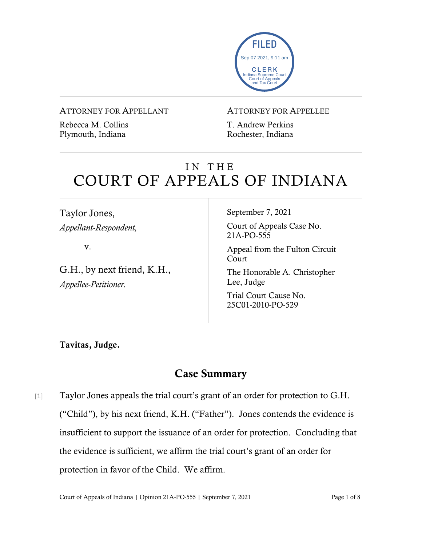

ATTORNEY FOR APPELLANT

Rebecca M. Collins Plymouth, Indiana

#### ATTORNEY FOR APPELLEE

T. Andrew Perkins Rochester, Indiana

# IN THE COURT OF APPEALS OF INDIANA

Taylor Jones, *Appellant-Respondent,*

v.

G.H., by next friend, K.H., *Appellee-Petitioner.*

September 7, 2021

Court of Appeals Case No. 21A-PO-555

Appeal from the Fulton Circuit Court

The Honorable A. Christopher Lee, Judge

Trial Court Cause No. 25C01-2010-PO-529

Tavitas, Judge.

# Case Summary

[1] Taylor Jones appeals the trial court's grant of an order for protection to G.H. ("Child"), by his next friend, K.H. ("Father"). Jones contends the evidence is insufficient to support the issuance of an order for protection. Concluding that the evidence is sufficient, we affirm the trial court's grant of an order for protection in favor of the Child. We affirm.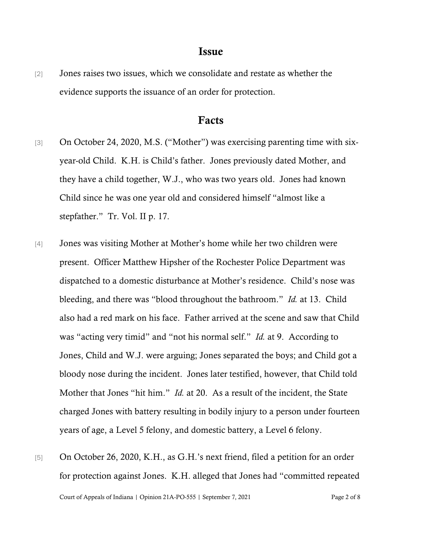#### Issue

[2] Jones raises two issues, which we consolidate and restate as whether the evidence supports the issuance of an order for protection.

#### Facts

- [3] On October 24, 2020, M.S. ("Mother") was exercising parenting time with sixyear-old Child. K.H. is Child's father. Jones previously dated Mother, and they have a child together, W.J., who was two years old. Jones had known Child since he was one year old and considered himself "almost like a stepfather." Tr. Vol. II p. 17.
- [4] Jones was visiting Mother at Mother's home while her two children were present. Officer Matthew Hipsher of the Rochester Police Department was dispatched to a domestic disturbance at Mother's residence. Child's nose was bleeding, and there was "blood throughout the bathroom." *Id.* at 13. Child also had a red mark on his face. Father arrived at the scene and saw that Child was "acting very timid" and "not his normal self." *Id.* at 9. According to Jones, Child and W.J. were arguing; Jones separated the boys; and Child got a bloody nose during the incident. Jones later testified, however, that Child told Mother that Jones "hit him." *Id.* at 20. As a result of the incident, the State charged Jones with battery resulting in bodily injury to a person under fourteen years of age, a Level 5 felony, and domestic battery, a Level 6 felony.
- Court of Appeals of Indiana | Opinion 21A-PO-555 | September 7, 2021 Page 2 of 8 [5] On October 26, 2020, K.H., as G.H.'s next friend, filed a petition for an order for protection against Jones. K.H. alleged that Jones had "committed repeated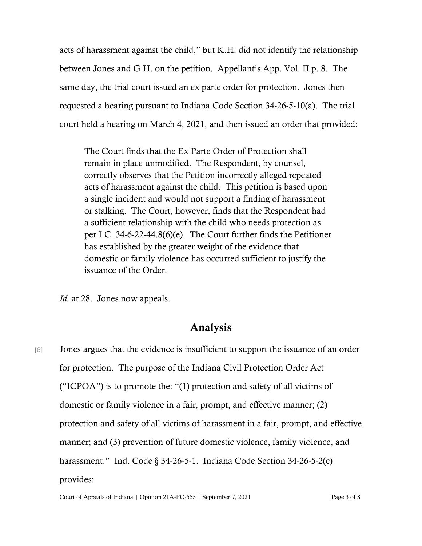acts of harassment against the child," but K.H. did not identify the relationship between Jones and G.H. on the petition. Appellant's App. Vol. II p. 8. The same day, the trial court issued an ex parte order for protection. Jones then requested a hearing pursuant to Indiana Code Section 34-26-5-10(a). The trial court held a hearing on March 4, 2021, and then issued an order that provided:

The Court finds that the Ex Parte Order of Protection shall remain in place unmodified. The Respondent, by counsel, correctly observes that the Petition incorrectly alleged repeated acts of harassment against the child. This petition is based upon a single incident and would not support a finding of harassment or stalking. The Court, however, finds that the Respondent had a sufficient relationship with the child who needs protection as per I.C. 34-6-22-44.8(6)(e). The Court further finds the Petitioner has established by the greater weight of the evidence that domestic or family violence has occurred sufficient to justify the issuance of the Order.

*Id.* at 28. Jones now appeals.

## Analysis

[6] Jones argues that the evidence is insufficient to support the issuance of an order for protection. The purpose of the Indiana Civil Protection Order Act ("ICPOA") is to promote the: "(1) protection and safety of all victims of domestic or family violence in a fair, prompt, and effective manner; (2) protection and safety of all victims of harassment in a fair, prompt, and effective manner; and (3) prevention of future domestic violence, family violence, and harassment." Ind. Code § 34-26-5-1. Indiana Code Section 34-26-5-2(c) provides:

Court of Appeals of Indiana | Opinion 21A-PO-555 | September 7, 2021 Page 3 of 8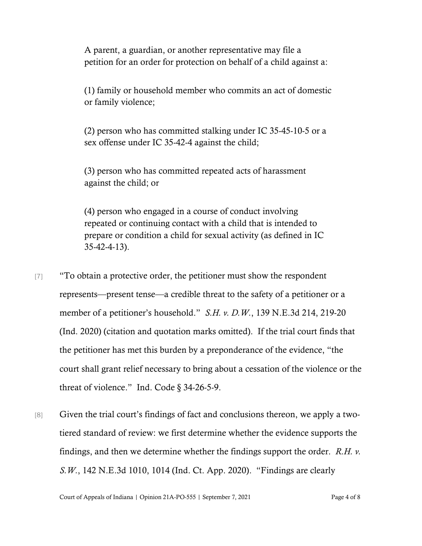A parent, a guardian, or another representative may file a petition for an order for protection on behalf of a child against a:

(1) family or household member who commits an act of domestic or family violence;

(2) person who has committed stalking under IC 35-45-10-5 or a sex offense under IC 35-42-4 against the child;

(3) person who has committed repeated acts of harassment against the child; or

(4) person who engaged in a course of conduct involving repeated or continuing contact with a child that is intended to prepare or condition a child for sexual activity (as defined in IC 35-42-4-13).

- [7] "To obtain a protective order, the petitioner must show the respondent represents—present tense—a credible threat to the safety of a petitioner or a member of a petitioner's household." *S.H. v. D.W.*, 139 N.E.3d 214, 219-20 (Ind. 2020) (citation and quotation marks omitted). If the trial court finds that the petitioner has met this burden by a preponderance of the evidence, "the court shall grant relief necessary to bring about a cessation of the violence or the threat of violence." Ind. Code § 34-26-5-9.
- [8] Given the trial court's findings of fact and conclusions thereon, we apply a twotiered standard of review: we first determine whether the evidence supports the findings, and then we determine whether the findings support the order. *R.H. v. S.W.*, 142 N.E.3d 1010, 1014 (Ind. Ct. App. 2020). "Findings are clearly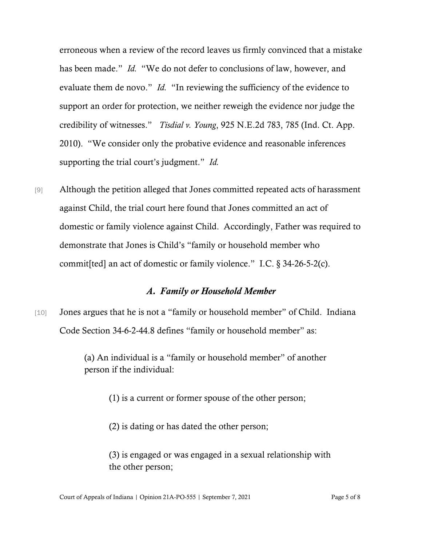erroneous when a review of the record leaves us firmly convinced that a mistake has been made." *Id.* "We do not defer to conclusions of law, however, and evaluate them de novo." *Id.* "In reviewing the sufficiency of the evidence to support an order for protection, we neither reweigh the evidence nor judge the credibility of witnesses." *Tisdial v. Young*, 925 N.E.2d 783, 785 (Ind. Ct. App. 2010). "We consider only the probative evidence and reasonable inferences supporting the trial court's judgment." *Id.*

[9] Although the petition alleged that Jones committed repeated acts of harassment against Child, the trial court here found that Jones committed an act of domestic or family violence against Child. Accordingly, Father was required to demonstrate that Jones is Child's "family or household member who commit[ted] an act of domestic or family violence." I.C. § 34-26-5-2(c).

#### *A. Family or Household Member*

[10] Jones argues that he is not a "family or household member" of Child. Indiana Code Section 34-6-2-44.8 defines "family or household member" as:

> (a) An individual is a "family or household member" of another person if the individual:

> > (1) is a current or former spouse of the other person;

(2) is dating or has dated the other person;

(3) is engaged or was engaged in a sexual relationship with the other person;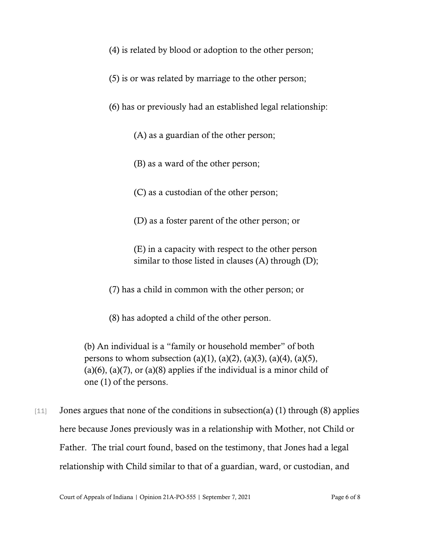- (4) is related by blood or adoption to the other person;
- (5) is or was related by marriage to the other person;
- (6) has or previously had an established legal relationship:
	- (A) as a guardian of the other person;
	- (B) as a ward of the other person;
	- (C) as a custodian of the other person;
	- (D) as a foster parent of the other person; or
	- (E) in a capacity with respect to the other person similar to those listed in clauses  $(A)$  through  $(D)$ ;
- (7) has a child in common with the other person; or
- (8) has adopted a child of the other person.
- (b) An individual is a "family or household member" of both persons to whom subsection (a)(1), (a)(2), (a)(3), (a)(4), (a)(5),  $(a)(6)$ ,  $(a)(7)$ , or  $(a)(8)$  applies if the individual is a minor child of one (1) of the persons.
- [11] Jones argues that none of the conditions in subsection(a) (1) through (8) applies here because Jones previously was in a relationship with Mother, not Child or Father. The trial court found, based on the testimony, that Jones had a legal relationship with Child similar to that of a guardian, ward, or custodian, and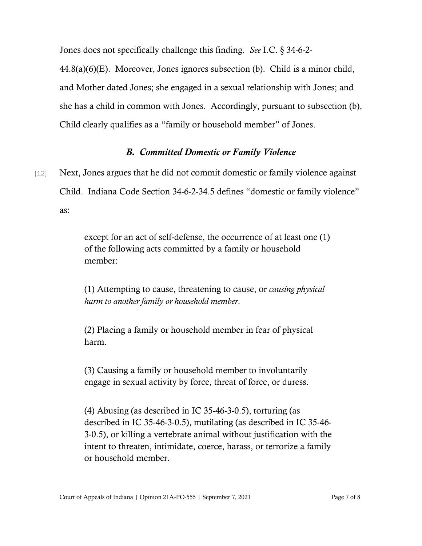Jones does not specifically challenge this finding. *See* I.C. § 34-6-2-

44.8(a)(6)(E). Moreover, Jones ignores subsection (b). Child is a minor child, and Mother dated Jones; she engaged in a sexual relationship with Jones; and she has a child in common with Jones. Accordingly, pursuant to subsection (b), Child clearly qualifies as a "family or household member" of Jones.

#### *B. Committed Domestic or Family Violence*

[12] Next, Jones argues that he did not commit domestic or family violence against Child. Indiana Code Section 34-6-2-34.5 defines "domestic or family violence" as:

> except for an act of self-defense, the occurrence of at least one (1) of the following acts committed by a family or household member:

(1) Attempting to cause, threatening to cause, or *causing physical harm to another family or household member*.

(2) Placing a family or household member in fear of physical harm.

(3) Causing a family or household member to involuntarily engage in sexual activity by force, threat of force, or duress.

(4) Abusing (as described in IC 35-46-3-0.5), torturing (as described in IC 35-46-3-0.5), mutilating (as described in IC 35-46- 3-0.5), or killing a vertebrate animal without justification with the intent to threaten, intimidate, coerce, harass, or terrorize a family or household member.